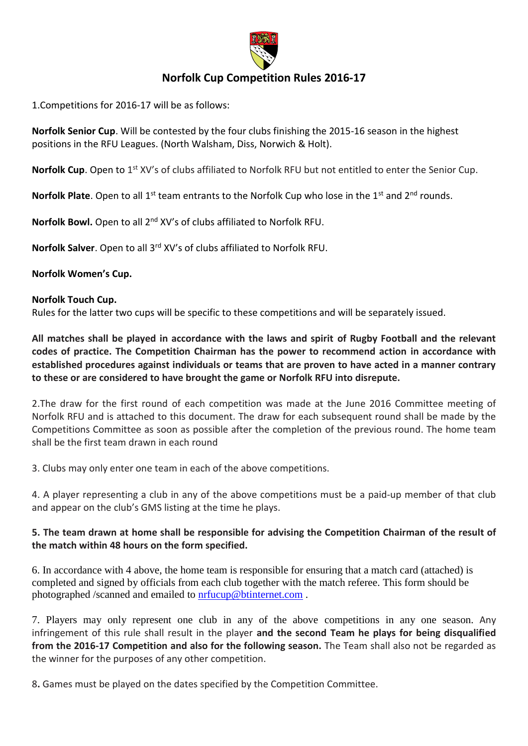

# **Norfolk Cup Competition Rules 2016-17**

1.Competitions for 2016-17 will be as follows:

**Norfolk Senior Cup**. Will be contested by the four clubs finishing the 2015-16 season in the highest positions in the RFU Leagues. (North Walsham, Diss, Norwich & Holt).

Norfolk Cup. Open to 1<sup>st</sup> XV's of clubs affiliated to Norfolk RFU but not entitled to enter the Senior Cup.

**Norfolk Plate**. Open to all 1<sup>st</sup> team entrants to the Norfolk Cup who lose in the 1<sup>st</sup> and 2<sup>nd</sup> rounds.

**Norfolk Bowl.** Open to all 2nd XV's of clubs affiliated to Norfolk RFU.

**Norfolk Salver**. Open to all 3<sup>rd</sup> XV's of clubs affiliated to Norfolk RFU.

**Norfolk Women's Cup.**

### **Norfolk Touch Cup.**

Rules for the latter two cups will be specific to these competitions and will be separately issued.

**All matches shall be played in accordance with the laws and spirit of Rugby Football and the relevant codes of practice. The Competition Chairman has the power to recommend action in accordance with established procedures against individuals or teams that are proven to have acted in a manner contrary to these or are considered to have brought the game or Norfolk RFU into disrepute.**

2.The draw for the first round of each competition was made at the June 2016 Committee meeting of Norfolk RFU and is attached to this document. The draw for each subsequent round shall be made by the Competitions Committee as soon as possible after the completion of the previous round. The home team shall be the first team drawn in each round

3. Clubs may only enter one team in each of the above competitions.

4. A player representing a club in any of the above competitions must be a paid-up member of that club and appear on the club's GMS listing at the time he plays.

### **5. The team drawn at home shall be responsible for advising the Competition Chairman of the result of the match within 48 hours on the form specified.**

6. In accordance with 4 above, the home team is responsible for ensuring that a match card (attached) is completed and signed by officials from each club together with the match referee. This form should be photographed /scanned and emailed to [nrfucup@btinternet.com](mailto:nrfucup@btinternet.com) .

7. Players may only represent one club in any of the above competitions in any one season. Any infringement of this rule shall result in the player **and the second Team he plays for being disqualified from the 2016-17 Competition and also for the following season.** The Team shall also not be regarded as the winner for the purposes of any other competition.

8**.** Games must be played on the dates specified by the Competition Committee.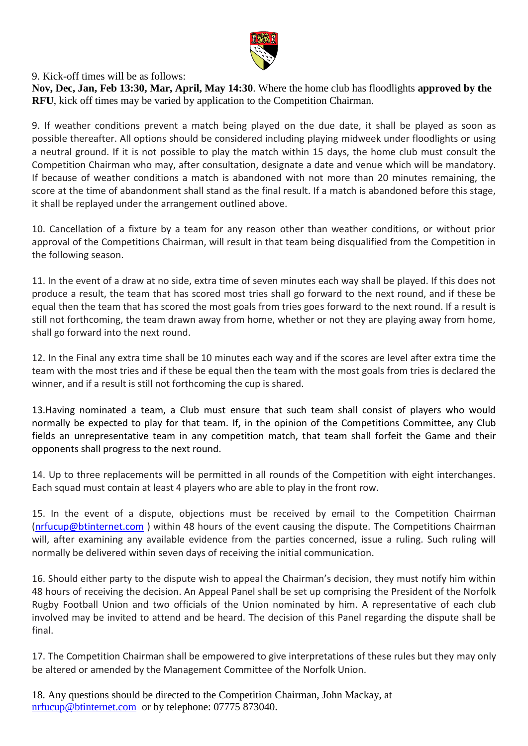

9. Kick-off times will be as follows:

**Nov, Dec, Jan, Feb 13:30, Mar, April, May 14:30**. Where the home club has floodlights **approved by the RFU**, kick off times may be varied by application to the Competition Chairman.

9. If weather conditions prevent a match being played on the due date, it shall be played as soon as possible thereafter. All options should be considered including playing midweek under floodlights or using a neutral ground. If it is not possible to play the match within 15 days, the home club must consult the Competition Chairman who may, after consultation, designate a date and venue which will be mandatory. If because of weather conditions a match is abandoned with not more than 20 minutes remaining, the score at the time of abandonment shall stand as the final result. If a match is abandoned before this stage, it shall be replayed under the arrangement outlined above.

10. Cancellation of a fixture by a team for any reason other than weather conditions, or without prior approval of the Competitions Chairman, will result in that team being disqualified from the Competition in the following season.

11. In the event of a draw at no side, extra time of seven minutes each way shall be played. If this does not produce a result, the team that has scored most tries shall go forward to the next round, and if these be equal then the team that has scored the most goals from tries goes forward to the next round. If a result is still not forthcoming, the team drawn away from home, whether or not they are playing away from home, shall go forward into the next round.

12. In the Final any extra time shall be 10 minutes each way and if the scores are level after extra time the team with the most tries and if these be equal then the team with the most goals from tries is declared the winner, and if a result is still not forthcoming the cup is shared.

13.Having nominated a team, a Club must ensure that such team shall consist of players who would normally be expected to play for that team. If, in the opinion of the Competitions Committee, any Club fields an unrepresentative team in any competition match, that team shall forfeit the Game and their opponents shall progress to the next round.

14. Up to three replacements will be permitted in all rounds of the Competition with eight interchanges. Each squad must contain at least 4 players who are able to play in the front row.

15. In the event of a dispute, objections must be received by email to the Competition Chairman [\(nrfucup@btinternet.com](mailto:nrfucup@btinternet.com) ) within 48 hours of the event causing the dispute. The Competitions Chairman will, after examining any available evidence from the parties concerned, issue a ruling. Such ruling will normally be delivered within seven days of receiving the initial communication.

16. Should either party to the dispute wish to appeal the Chairman's decision, they must notify him within 48 hours of receiving the decision. An Appeal Panel shall be set up comprising the President of the Norfolk Rugby Football Union and two officials of the Union nominated by him. A representative of each club involved may be invited to attend and be heard. The decision of this Panel regarding the dispute shall be final.

17. The Competition Chairman shall be empowered to give interpretations of these rules but they may only be altered or amended by the Management Committee of the Norfolk Union.

18. Any questions should be directed to the Competition Chairman, John Mackay, at [nrfucup@btinternet.com](mailto:nrfucup@btinternet.com) or by telephone: 07775 873040.